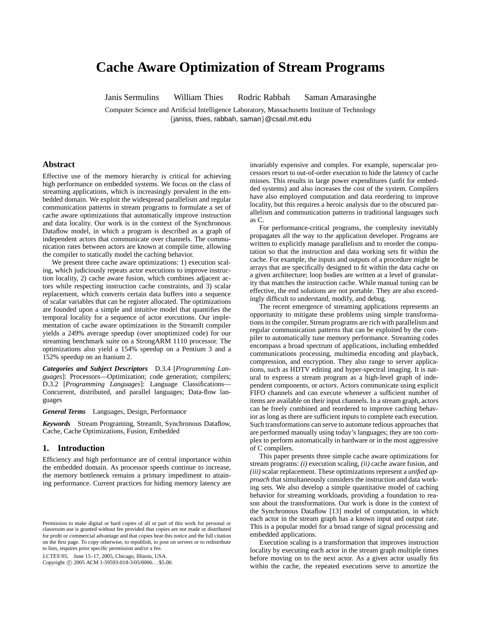# **Cache Aware Optimization of Stream Programs**

Janis Sermulins William Thies Rodric Rabbah Saman Amarasinghe

Computer Science and Artificial Intelligence Laboratory, Massachusetts Institute of Technology {janiss, thies, rabbah, saman}@csail.mit.edu

# **Abstract**

Effective use of the memory hierarchy is critical for achieving high performance on embedded systems. We focus on the class of streaming applications, which is increasingly prevalent in the embedded domain. We exploit the widespread parallelism and regular communication patterns in stream programs to formulate a set of cache aware optimizations that automatically improve instruction and data locality. Our work is in the context of the Synchronous Dataflow model, in which a program is described as a graph of independent actors that communicate over channels. The communication rates between actors are known at compile time, allowing the compiler to statically model the caching behavior.

We present three cache aware optimizations: 1) execution scaling, which judiciously repeats actor executions to improve instruction locality, 2) cache aware fusion, which combines adjacent actors while respecting instruction cache constraints, and 3) scalar replacement, which converts certain data buffers into a sequence of scalar variables that can be register allocated. The optimizations are founded upon a simple and intuitive model that quantifies the temporal locality for a sequence of actor executions. Our implementation of cache aware optimizations in the StreamIt compiler yields a 249% average speedup (over unoptimized code) for our streaming benchmark suite on a StrongARM 1110 processor. The optimizations also yield a 154% speedup on a Pentium 3 and a 152% speedup on an Itanium 2.

*Categories and Subject Descriptors* D.3.4 [*Programming Languages*]: Processors—Optimization; code generation; compilers; D.3.2 [*Programming Languages*]: Language Classifications— Concurrent, distributed, and parallel languages; Data-flow languages

*General Terms* Languages, Design, Performance

*Keywords* Stream Programing, StreamIt, Synchronous Dataflow, Cache, Cache Optimizations, Fusion, Embedded

## **1. Introduction**

Efficiency and high performance are of central importance within the embedded domain. As processor speeds continue to increase, the memory bottleneck remains a primary impediment to attaining performance. Current practices for hiding memory latency are

LCTES'05, June 15–17, 2005, Chicago, Illinois, USA.

Copyright (c) 2005 ACM 1-59593-018-3/05/0006... \$5.00.

invariably expensive and complex. For example, superscalar processors resort to out-of-order execution to hide the latency of cache misses. This results in large power expenditures (unfit for embedded systems) and also increases the cost of the system. Compilers have also employed computation and data reordering to improve locality, but this requires a heroic analysis due to the obscured parallelism and communication patterns in traditional languages such as C.

For performance-critical programs, the complexity inevitably propagates all the way to the application developer. Programs are written to explicitly manage parallelism and to reorder the computation so that the instruction and data working sets fit within the cache. For example, the inputs and outputs of a procedure might be arrays that are specifically designed to fit within the data cache on a given architecture; loop bodies are written at a level of granularity that matches the instruction cache. While manual tuning can be effective, the end solutions are not portable. They are also exceedingly difficult to understand, modify, and debug.

The recent emergence of streaming applications represents an opportunity to mitigate these problems using simple transformations in the compiler. Stream programs are rich with parallelism and regular communication patterns that can be exploited by the compiler to automatically tune memory performance. Streaming codes encompass a broad spectrum of applications, including embedded communications processing, multimedia encoding and playback, compression, and encryption. They also range to server applications, such as HDTV editing and hyper-spectral imaging. It is natural to express a stream program as a high-level graph of independent components, or *actors*. Actors communicate using explicit FIFO channels and can execute whenever a sufficient number of items are available on their input channels. In a stream graph, actors can be freely combined and reordered to improve caching behavior as long as there are sufficient inputs to complete each execution. Such transformations can serve to automate tedious approaches that are performed manually using today's languages; they are too complex to perform automatically in hardware or in the most aggressive of C compilers.

This paper presents three simple cache aware optimizations for stream programs: *(i)* execution scaling, *(ii)* cache aware fusion, and *(iii)* scalar replacement. These optimizations represent a *unified approach* that simultaneously considers the instruction and data working sets. We also develop a simple quantitative model of caching behavior for streaming workloads, providing a foundation to reason about the transformations. Our work is done in the context of the Synchronous Dataflow [13] model of computation, in which each actor in the stream graph has a known input and output rate. This is a popular model for a broad range of signal processing and embedded applications.

Execution scaling is a transformation that improves instruction locality by executing each actor in the stream graph multiple times before moving on to the next actor. As a given actor usually fits within the cache, the repeated executions serve to amortize the

Permission to make digital or hard copies of all or part of this work for personal or classroom use is granted without fee provided that copies are not made or distributed for profit or commercial advantage and that copies bear this notice and the full citation on the first page. To copy otherwise, to republish, to post on servers or to redistribute to lists, requires prior specific permission and/or a fee.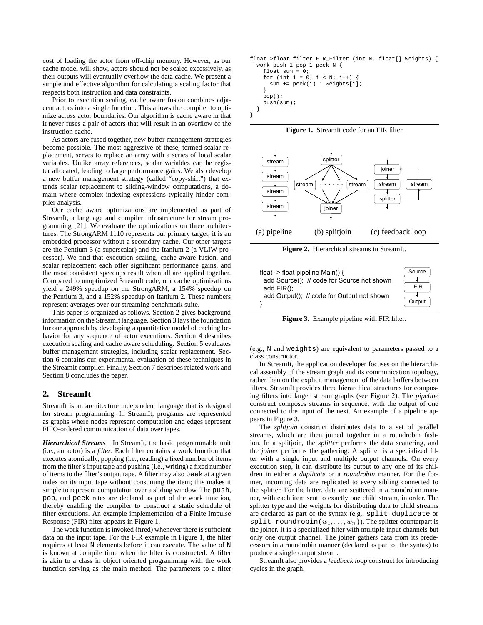cost of loading the actor from off-chip memory. However, as our cache model will show, actors should not be scaled excessively, as their outputs will eventually overflow the data cache. We present a simple and effective algorithm for calculating a scaling factor that respects both instruction and data constraints.

Prior to execution scaling, cache aware fusion combines adjacent actors into a single function. This allows the compiler to optimize across actor boundaries. Our algorithm is cache aware in that it never fuses a pair of actors that will result in an overflow of the instruction cache.

As actors are fused together, new buffer management strategies become possible. The most aggressive of these, termed scalar replacement, serves to replace an array with a series of local scalar variables. Unlike array references, scalar variables can be register allocated, leading to large performance gains. We also develop a new buffer management strategy (called "copy-shift") that extends scalar replacement to sliding-window computations, a domain where complex indexing expressions typically hinder compiler analysis.

Our cache aware optimizations are implemented as part of StreamIt, a language and compiler infrastructure for stream programming [21]. We evaluate the optimizations on three architectures. The StrongARM 1110 represents our primary target; it is an embedded processor without a secondary cache. Our other targets are the Pentium 3 (a superscalar) and the Itanium 2 (a VLIW processor). We find that execution scaling, cache aware fusion, and scalar replacement each offer significant performance gains, and the most consistent speedups result when all are applied together. Compared to unoptimized StreamIt code, our cache optimizations yield a 249% speedup on the StrongARM, a 154% speedup on the Pentium 3, and a 152% speedup on Itanium 2. These numbers represent averages over our streaming benchmark suite.

This paper is organized as follows. Section 2 gives background information on the StreamIt language. Section 3 lays the foundation for our approach by developing a quantitative model of caching behavior for any sequence of actor executions. Section 4 describes execution scaling and cache aware scheduling. Section 5 evaluates buffer management strategies, including scalar replacement. Section 6 contains our experimental evaluation of these techniques in the StreamIt compiler. Finally, Section 7 describes related work and Section 8 concludes the paper.

# **2. StreamIt**

StreamIt is an architecture independent language that is designed for stream programming. In StreamIt, programs are represented as graphs where nodes represent computation and edges represent FIFO-ordered communication of data over tapes.

*Hierarchical Streams* In StreamIt, the basic programmable unit (i.e., an actor) is a *filter*. Each filter contains a work function that executes atomically, popping (i.e., reading) a fixed number of items from the filter'sinput tape and pushing (i.e., writing) a fixed number of items to the filter's output tape. A filter may also peek at a given index on its input tape without consuming the item; this makes it simple to represent computation over a sliding window. The push, pop, and peek rates are declared as part of the work function, thereby enabling the compiler to construct a static schedule of filter executions. An example implementation of a Finite Impulse Response (FIR) filter appears in Figure 1.

The work function is invoked (fired) whenever there is sufficient data on the input tape. For the FIR example in Figure 1, the filter requires at least N elements before it can execute. The value of N is known at compile time when the filter is constructed. A filter is akin to a class in object oriented programming with the work function serving as the main method. The parameters to a filter

```
float->float filter FIR_Filter (int N, float[] weights) {
  work push 1 pop 1 peek N {
    float sum = 0;for (int i = 0; i < N; i++) {
      sum += \text{peek}(i) * \text{weights}[i];}
    pop();
    push(sum);}
}
```




**Figure 2.** Hierarchical streams in StreamIt.

| float -> float pipeline Main() {           | Source     |
|--------------------------------------------|------------|
| add Source(); // code for Source not shown |            |
| add $FIR()$ ;                              | <b>FIR</b> |
| add Output(); // code for Output not shown |            |
|                                            | Output     |
|                                            |            |

**Figure 3.** Example pipeline with FIR filter.

(e.g., N and weights) are equivalent to parameters passed to a class constructor.

In StreamIt, the application developer focuses on the hierarchical assembly of the stream graph and its communication topology, rather than on the explicit management of the data buffers between filters. StreamIt provides three hierarchical structures for composing filters into larger stream graphs (see Figure 2). The *pipeline* construct composes streams in sequence, with the output of one connected to the input of the next. An example of a pipeline appears in Figure 3.

The *splitjoin* construct distributes data to a set of parallel streams, which are then joined together in a roundrobin fashion. In a splitjoin, the *splitter* performs the data scattering, and the *joiner* performs the gathering. A splitter is a specialized filter with a single input and multiple output channels. On every execution step, it can distribute its output to any one of its children in either a *duplicate* or a *roundrobin* manner. For the former, incoming data are replicated to every sibling connected to the splitter. For the latter, data are scattered in a roundrobin manner, with each item sent to exactly one child stream, in order. The splitter type and the weights for distributing data to child streams are declared as part of the syntax (e.g., split duplicate or split roundrobin( $w_1, \ldots, w_n$ ). The splitter counterpart is the joiner. It is a specialized filter with multiple input channels but only one output channel. The joiner gathers data from its predecessors in a roundrobin manner (declared as part of the syntax) to produce a single output stream.

StreamIt also provides a *feedback loop* construct for introducing cycles in the graph.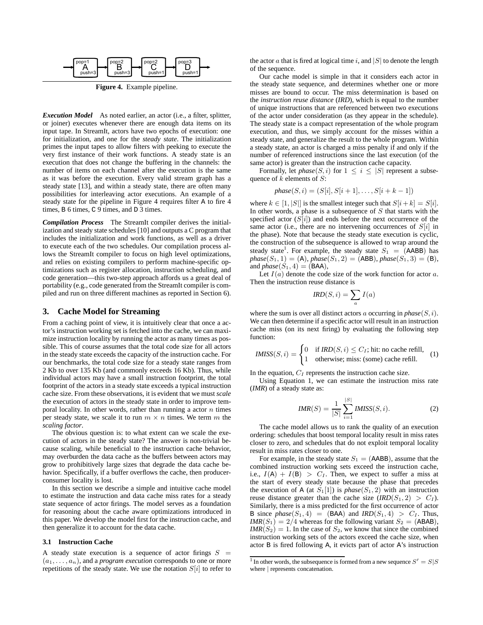

**Figure 4.** Example pipeline.

*Execution Model* As noted earlier, an actor (i.e., a filter, splitter, or joiner) executes whenever there are enough data items on its input tape. In StreamIt, actors have two epochs of execution: one for initialization, and one for the *steady state*. The initialization primes the input tapes to allow filters with peeking to execute the very first instance of their work functions. A steady state is an execution that does not change the buffering in the channels: the number of items on each channel after the execution is the same as it was before the execution. Every valid stream graph has a steady state [13], and within a steady state, there are often many possibilities for interleaving actor executions. An example of a steady state for the pipeline in Figure 4 requires filter A to fire 4 times, B 6 times, C 9 times, and D 3 times.

*Compilation Process* The StreamIt compiler derives the initialization and steady state schedules [10] and outputs a C program that includes the initialization and work functions, as well as a driver to execute each of the two schedules. Our compilation process allows the StreamIt compiler to focus on high level optimizations, and relies on existing compilers to perform machine-specific optimizations such as register allocation, instruction scheduling, and code generation—this two-step approach affords us a great deal of portability (e.g., code generated from the StreamIt compiler is compiled and run on three different machines as reported in Section 6).

## **3. Cache Model for Streaming**

From a caching point of view, it is intuitively clear that once a actor's instruction working set is fetched into the cache, we can maximize instruction locality by running the actor as many times as possible. This of course assumes that the total code size for all actors in the steady state exceeds the capacity of the instruction cache. For our benchmarks, the total code size for a steady state ranges from 2 Kb to over 135 Kb (and commonly exceeds 16 Kb). Thus, while individual actors may have a small instruction footprint, the total footprint of the actors in a steady state exceeds a typical instruction cache size. From these observations, it is evident that we must *scale* the execution of actors in the steady state in order to improve temporal locality. In other words, rather than running a actor  $n$  times per steady state, we scale it to run  $m \times n$  times. We term m the *scaling factor*.

The obvious question is: to what extent can we scale the execution of actors in the steady state? The answer is non-trivial because scaling, while beneficial to the instruction cache behavior, may overburden the data cache as the buffers between actors may grow to prohibitively large sizes that degrade the data cache behavior. Specifically, if a buffer overflows the cache, then producerconsumer locality is lost.

In this section we describe a simple and intuitive cache model to estimate the instruction and data cache miss rates for a steady state sequence of actor firings. The model serves as a foundation for reasoning about the cache aware optimizations introduced in this paper. We develop the model first for the instruction cache, and then generalize it to account for the data cache.

#### **3.1 Instruction Cache**

A steady state execution is a sequence of actor firings  $S =$  $(a_1, \ldots, a_n)$ , and a *program execution* corresponds to one or more repetitions of the steady state. We use the notation  $S[i]$  to refer to the actor  $a$  that is fired at logical time  $i$ , and  $|S|$  to denote the length of the sequence.

Our cache model is simple in that it considers each actor in the steady state sequence, and determines whether one or more misses are bound to occur. The miss determination is based on the *instruction reuse distance* (*IRD*), which is equal to the number of unique instructions that are referenced between two executions of the actor under consideration (as they appear in the schedule). The steady state is a compact representation of the whole program execution, and thus, we simply account for the misses within a steady state, and generalize the result to the whole program. Within a steady state, an actor is charged a miss penalty if and only if the number of referenced instructions since the last execution (of the same actor) is greater than the instruction cache capacity.

Formally, let *phase*(S, i) for  $1 \le i \le |S|$  represent a subsequence of  $k$  elements of  $S$ :

$$
phase(S, i) = (S[i], S[i + 1], \dots, S[i + k - 1])
$$

where  $k \in [1, |S|]$  is the smallest integer such that  $S[i + k] = S[i]$ . In other words, a phase is a subsequence of  $S$  that starts with the specified actor  $(S[i])$  and ends before the next occurrence of the same actor (i.e., there are no intervening occurrences of  $S[i]$  in the phase). Note that because the steady state execution is cyclic, the construction of the subsequence is allowed to wrap around the steady state<sup>1</sup>. For example, the steady state  $S_1 = (AABB)$  has  $phase(S_1, 1) = (A), phase(S_1, 2) = (ABB), phase(S_1, 3) = (B),$ and  $phase(S_1, 4) = (BAA)$ ,

Let  $I(a)$  denote the code size of the work function for actor a. Then the instruction reuse distance is

$$
IRD(S, i) = \sum_{a} I(a)
$$

where the sum is over all distinct actors a occurring in  $phase(S, i)$ . We can then determine if a specific actor will result in an instruction cache miss (on its next firing) by evaluating the following step function:

$$
IMISS(S, i) = \begin{cases} 0 & \text{if } IRD(S, i) \le C_I; \text{ hit: no cache refill,} \\ 1 & \text{otherwise; miss: (some) cache refill.} \end{cases}
$$
 (1)

In the equation,  $C_I$  represents the instruction cache size.

Using Equation 1, we can estimate the instruction miss rate (*IMR*) of a steady state as:

$$
IMR(S) = \frac{1}{|S|} \sum_{i=1}^{|S|} IMISS(S, i).
$$
 (2)

The cache model allows us to rank the quality of an execution ordering: schedules that boost temporal locality result in miss rates closer to zero, and schedules that do not exploit temporal locality result in miss rates closer to one.

For example, in the steady state  $S_1 = (AABB)$ , assume that the combined instruction working sets exceed the instruction cache, i.e.,  $I(A) + I(B) > C_I$ . Then, we expect to suffer a miss at the start of every steady state because the phase that precedes the execution of A (at  $S_1[1]$ ) is *phase*( $S_1$ , 2) with an instruction reuse distance greater than the cache size  $\left( IRD(S_1, 2) \right) > C_I$ . Similarly, there is a miss predicted for the first occurrence of actor B since  $phase(S_1, 4) = (BAA)$  and  $IRD(S_1, 4) > C_I$ . Thus,  $IMR(S_1) = 2/4$  whereas for the following variant  $S_2 = (ABAB)$ ,  $IMR(S_2) = 1$ . In the case of  $S_2$ , we know that since the combined instruction working sets of the actors exceed the cache size, when actor B is fired following A, it evicts part of actor A's instruction

<sup>&</sup>lt;sup>1</sup> In other words, the subsequence is formed from a new sequence  $S' = S|S$ where | represents concatenation.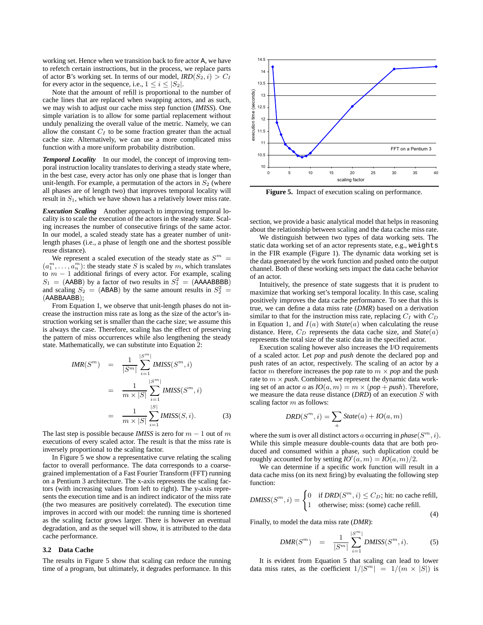working set. Hence when we transition back to fire actor A, we have to refetch certain instructions, but in the process, we replace parts of actor B's working set. In terms of our model,  $\text{IRD}(S_2, i) > C_I$ for every actor in the sequence, i.e.,  $1 \le i \le |S_2|$ .

Note that the amount of refill is proportional to the number of cache lines that are replaced when swapping actors, and as such, we may wish to adjust our cache miss step function (*IMISS*). One simple variation is to allow for some partial replacement without unduly penalizing the overall value of the metric. Namely, we can allow the constant  $C_I$  to be some fraction greater than the actual cache size. Alternatively, we can use a more complicated miss function with a more uniform probability distribution.

*Temporal Locality* In our model, the concept of improving temporal instruction locality translates to deriving a steady state where, in the best case, every actor has only one phase that is longer than unit-length. For example, a permutation of the actors in  $S_2$  (where all phases are of length two) that improves temporal locality will result in  $S_1$ , which we have shown has a relatively lower miss rate.

*Execution Scaling* Another approach to improving temporal locality is to scale the execution of the actors in the steady state. Scaling increases the number of consecutive firings of the same actor. In our model, a scaled steady state has a greater number of unitlength phases (i.e., a phase of length one and the shortest possible reuse distance).

We represent a scaled execution of the steady state as  $S<sup>m</sup>$  =  $(a_1^m, \ldots, a_n^m)$ : the steady state S is scaled by m, which translates to  $m - 1$  additional firings of every actor. For example, scaling  $S_1$  = (AABB) by a factor of two results in  $S_1^2$  = (AAAABBBB) and scaling  $S_2 = (ABAB)$  by the same amount results in  $S_2^2 =$ (AABBAABB);

From Equation 1, we observe that unit-length phases do not increase the instruction miss rate as long as the size of the actor's instruction working set is smaller than the cache size; we assume this is always the case. Therefore, scaling has the effect of preserving the pattern of miss occurrences while also lengthening the steady state. Mathematically, we can substitute into Equation 2:

$$
IMR(S^{m}) = \frac{1}{|S^{m}|} \sum_{i=1}^{|S^{m}|} IMSS(S^{m}, i)
$$
  
= 
$$
\frac{1}{m \times |S|} \sum_{i=1}^{|S^{m}|} IMSS(S^{m}, i)
$$
  
= 
$$
\frac{1}{m \times |S|} \sum_{i=1}^{|S|} IMSS(S, i).
$$
 (3)

The last step is possible because *IMISS* is zero for  $m - 1$  out of m executions of every scaled actor. The result is that the miss rate is inversely proportional to the scaling factor.

In Figure 5 we show a representative curve relating the scaling factor to overall performance. The data corresponds to a coarsegrained implementation of a Fast Fourier Transform (FFT) running on a Pentium 3 architecture. The x-axis represents the scaling factors (with increasing values from left to right). The y-axis represents the execution time and is an indirect indicator of the miss rate (the two measures are positively correlated). The execution time improves in accord with our model: the running time is shortened as the scaling factor grows larger. There is however an eventual degradation, and as the sequel will show, it is attributed to the data cache performance.

#### **3.2 Data Cache**

The results in Figure 5 show that scaling can reduce the running time of a program, but ultimately, it degrades performance. In this



**Figure 5.** Impact of execution scaling on performance.

section, we provide a basic analytical model that helps in reasoning about the relationship between scaling and the data cache miss rate.

We distinguish between two types of data working sets. The static data working set of an actor represents state, e.g., weights in the FIR example (Figure 1). The dynamic data working set is the data generated by the work function and pushed onto the output channel. Both of these working sets impact the data cache behavior of an actor.

Intuitively, the presence of state suggests that it is prudent to maximize that working set's temporal locality. In this case, scaling positively improves the data cache performance. To see that this is true, we can define a data miss rate (*DMR*) based on a derivation similar to that for the instruction miss rate, replacing  $C_I$  with  $C_D$ in Equation 1, and  $I(a)$  with  $State(a)$  when calculating the reuse distance. Here,  $C_D$  represents the data cache size, and  $State(a)$ represents the total size of the static data in the specified actor.

Execution scaling however also increases the I/O requirements of a scaled actor. Let *pop* and *push* denote the declared pop and push rates of an actor, respectively. The scaling of an actor by a factor m therefore increases the pop rate to  $m \times pop$  and the push rate to  $m \times push$ . Combined, we represent the dynamic data working set of an actor a as  $IO(a, m) = m \times (pop + push)$ . Therefore, we measure the data reuse distance (*DRD*) of an execution S with scaling factor  $m$  as follows:

$$
DRD(S^m, i) = \sum_{a} State(a) + IO(a, m)
$$

where the sum is over all distinct actors a occurring in  $phase(S^m, i)$ . While this simple measure double-counts data that are both produced and consumed within a phase, such duplication could be roughly accounted for by setting  $IO'(a, m) = IO(a, m)/2$ .

We can determine if a specific work function will result in a data cache miss (on its next firing) by evaluating the following step function:

$$
DMISS(Sm, i) = \begin{cases} 0 & \text{if } DRD(Sm, i) \le C_D; \text{ hit: no cache refill,} \\ 1 & \text{otherwise; miss: (some) cache refill.} \end{cases}
$$
(4)

Finally, to model the data miss rate (*DMR*):

$$
DMR(S^{m}) = \frac{1}{|S^{m}|} \sum_{i=1}^{|S^{m}|} DMISS(S^{m}, i).
$$
 (5)

It is evident from Equation 5 that scaling can lead to lower data miss rates, as the coefficient  $1/|S^m| = 1/(m \times |S|)$  is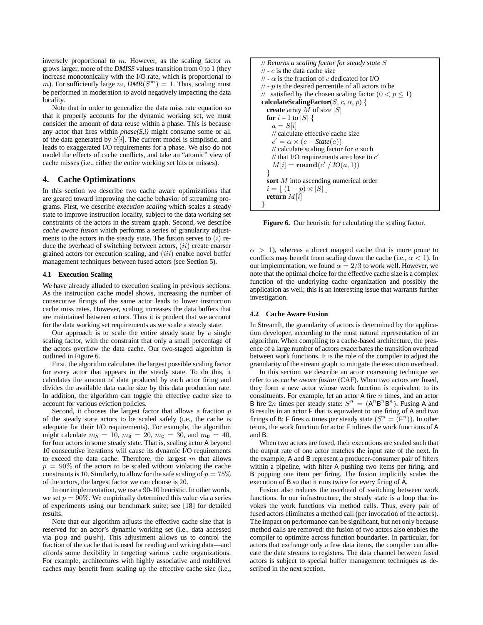inversely proportional to  $m$ . However, as the scaling factor  $m$ grows larger, more of the *DMISS* values transition from 0 to 1 (they increase monotonically with the I/O rate, which is proportional to m). For sufficiently large m,  $DMR(S^m) = 1$ . Thus, scaling must be performed in moderation to avoid negatively impacting the data locality.

Note that in order to generalize the data miss rate equation so that it properly accounts for the dynamic working set, we must consider the amount of data reuse within a phase. This is because any actor that fires within *phase(S,i)* might consume some or all of the data generated by  $S[i]$ . The current model is simplistic, and leads to exaggerated I/O requirements for a phase. We also do not model the effects of cache conflicts, and take an "atomic" view of cache misses (i.e., either the entire working set hits or misses).

## **4. Cache Optimizations**

In this section we describe two cache aware optimizations that are geared toward improving the cache behavior of streaming programs. First, we describe *execution scaling* which scales a steady state to improve instruction locality, subject to the data working set constraints of the actors in the stream graph. Second, we describe *cache aware fusion* which performs a series of granularity adjustments to the actors in the steady state. The fusion serves to  $(i)$  reduce the overhead of switching between actors,  $(ii)$  create coarser grained actors for execution scaling, and  $(iii)$  enable novel buffer management techniques between fused actors (see Section 5).

## **4.1 Execution Scaling**

We have already alluded to execution scaling in previous sections. As the instruction cache model shows, increasing the number of consecutive firings of the same actor leads to lower instruction cache miss rates. However, scaling increases the data buffers that are maintained between actors. Thus it is prudent that we account for the data working set requirements as we scale a steady state.

Our approach is to scale the entire steady state by a single scaling factor, with the constraint that only a small percentage of the actors overflow the data cache. Our two-staged algorithm is outlined in Figure 6.

First, the algorithm calculates the largest possible scaling factor for every actor that appears in the steady state. To do this, it calculates the amount of data produced by each actor firing and divides the available data cache size by this data production rate. In addition, the algorithm can toggle the effective cache size to account for various eviction policies.

Second, it chooses the largest factor that allows a fraction  $p$ of the steady state actors to be scaled safely (i.e., the cache is adequate for their I/O requirements). For example, the algorithm might calculate  $m_A = 10$ ,  $m_B = 20$ ,  $m_C = 30$ , and  $m_D = 40$ , for four actors in some steady state. That is, scaling actor A beyond 10 consecutive iterations will cause its dynamic I/O requirements to exceed the data cache. Therefore, the largest  $m$  that allows  $p = 90\%$  of the actors to be scaled without violating the cache constraints is 10. Similarly, to allow for the safe scaling of  $p = 75\%$ of the actors, the largest factor we can choose is 20.

In our implementation, we use a 90-10 heuristic. In other words, we set  $p = 90\%$ . We empirically determined this value via a series of experiments using our benchmark suite; see [18] for detailed results.

Note that our algorithm adjusts the effective cache size that is reserved for an actor's dynamic working set (i.e., data accessed via pop and push). This adjustment allows us to control the fraction of the cache that is used for reading and writing data—and affords some flexibility in targeting various cache organizations. For example, architectures with highly associative and multilevel caches may benefit from scaling up the effective cache size (i.e.,

```
// Returns a scaling factor for steady state S
\mathcal{U} - c is the data cache size
\pi - \alpha is the fraction of c dedicated for I/O
\frac{1}{2} - p is the desired percentile of all actors to be
// satisfied by the chosen scaling factor (0 < p \le 1)calculateScalingFactor(S, c, \alpha, p) {
  create array M of size |S|for i = 1 to |S| {
    a = S[i]// calculate effective cache size
     c' = \alpha \times (c - \text{State}(a))\frac{1}{2} calculate scaling factor for a such
     // that I/O requirements are close to c'M[i] = \text{round}(c'/IO(a, 1))}
  sort M into ascending numerical order
  i = \lfloor (1 - p) \times |S| \rfloorreturn M[i]
}
```
**Figure 6.** Our heuristic for calculating the scaling factor.

 $\alpha > 1$ , whereas a direct mapped cache that is more prone to conflicts may benefit from scaling down the cache (i.e.,  $\alpha$  < 1). In our implementation, we found  $\alpha = 2/3$  to work well. However, we note that the optimal choice for the effective cache size is a complex function of the underlying cache organization and possibly the application as well; this is an interesting issue that warrants further investigation.

#### **4.2 Cache Aware Fusion**

In StreamIt, the granularity of actors is determined by the application developer, according to the most natural representation of an algorithm. When compiling to a cache-based architecture, the presence of a large number of actors exacerbates the transition overhead between work functions. It is the role of the compiler to adjust the granularity of the stream graph to mitigate the execution overhead.

In this section we describe an actor coarsening technique we refer to as *cache aware fusion* (CAF). When two actors are fused, they form a new actor whose work function is equivalent to its constituents. For example, let an actor  $A$  fire  $n$  times, and an actor B fire 2n times per steady state:  $S^n = (A^n B^n B^n)$ . Fusing A and B results in an actor F that is equivalent to one firing of A and two firings of B; F fires *n* times per steady state  $(S^n = (\mathbf{F}^n))$ . In other terms, the work function for actor F inlines the work functions of A and B.

When two actors are fused, their executions are scaled such that the output rate of one actor matches the input rate of the next. In the example, A and B represent a producer-consumer pair of filters within a pipeline, with filter A pushing two items per firing, and B popping one item per firing. The fusion implicitly scales the execution of B so that it runs twice for every firing of A.

Fusion also reduces the overhead of switching between work functions. In our infrastructure, the steady state is a loop that invokes the work functions via method calls. Thus, every pair of fused actors eliminates a method call (per invocation of the actors). The impact on performance can be significant, but not only because method calls are removed: the fusion of two actors also enables the compiler to optimize across function boundaries. In particular, for actors that exchange only a few data items, the compiler can allocate the data streams to registers. The data channel between fused actors is subject to special buffer management techniques as described in the next section.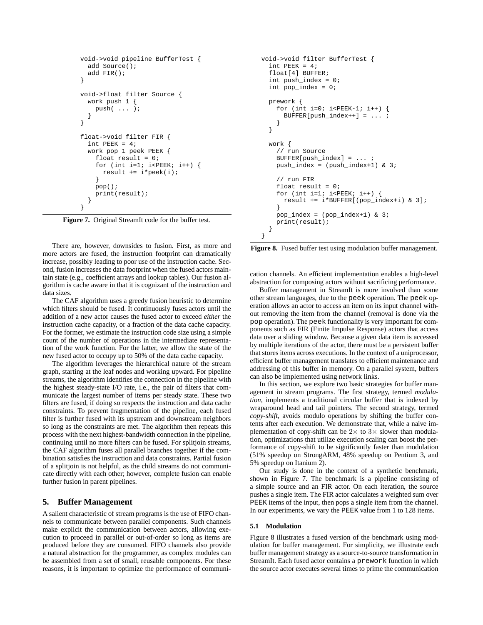```
void->void pipeline BufferTest {
  add Source();
  add FIR();
}
void->float filter Source {
  work push 1 {
   push( ... );
  }
}
float->void filter FIR {
  int PEEK = 4;work pop 1 peek PEEK {
    float result = 0;
    for (int i=1; i<PEEK; i++) {
      result += i * \text{peek}(i);}
    pop();
    print(result);
  }
}
```
**Figure 7.** Original StreamIt code for the buffer test.

There are, however, downsides to fusion. First, as more and more actors are fused, the instruction footprint can dramatically increase, possibly leading to poor use of the instruction cache. Second, fusion increases the data footprint when the fused actors maintain state (e.g., coefficient arrays and lookup tables). Our fusion algorithm is cache aware in that it is cognizant of the instruction and data sizes.

The CAF algorithm uses a greedy fusion heuristic to determine which filters should be fused. It continuously fuses actors until the addition of a new actor causes the fused actor to exceed *either* the instruction cache capacity, or a fraction of the data cache capacity. For the former, we estimate the instruction code size using a simple count of the number of operations in the intermediate representation of the work function. For the latter, we allow the state of the new fused actor to occupy up to 50% of the data cache capacity.

The algorithm leverages the hierarchical nature of the stream graph, starting at the leaf nodes and working upward. For pipeline streams, the algorithm identifies the connection in the pipeline with the highest steady-state I/O rate, i.e., the pair of filters that communicate the largest number of items per steady state. These two filters are fused, if doing so respects the instruction and data cache constraints. To prevent fragmentation of the pipeline, each fused filter is further fused with its upstream and downstream neighbors so long as the constraints are met. The algorithm then repeats this process with the next highest-bandwidth connection in the pipeline, continuing until no more filters can be fused. For splitjoin streams, the CAF algorithm fuses all parallel branches together if the combination satisfies the instruction and data constraints. Partial fusion of a splitjoin is not helpful, as the child streams do not communicate directly with each other; however, complete fusion can enable further fusion in parent pipelines.

## **5. Buffer Management**

A salient characteristic of stream programs is the use of FIFO channels to communicate between parallel components. Such channels make explicit the communication between actors, allowing execution to proceed in parallel or out-of-order so long as items are produced before they are consumed. FIFO channels also provide a natural abstraction for the programmer, as complex modules can be assembled from a set of small, reusable components. For these reasons, it is important to optimize the performance of communi-

```
void->void filter BufferTest {
  int PEEK = 4ifloat[4] BUFFER;
  int push_index = 0;
  int pop_index = 0;
  prework {
    for (int i=0; i<PEEK-1; i++) {
      BUFFER[push_index++] = ... ;
    }
  }
  work {
    // run Source
    BUFFER[push~index] = ...push_index = (push_index+1) & 3;
    // run FIR
    float result = 0;for (int i=1; i<PEEK; i++) {
      result += i*BUFFER[(pop_index+i) & 3];
    }
    pop_index = (pop_index+1) \& 3;print(result);
  }
}
```
**Figure 8.** Fused buffer test using modulation buffer management.

cation channels. An efficient implementation enables a high-level abstraction for composing actors without sacrificing performance.

Buffer management in StreamIt is more involved than some other stream languages, due to the peek operation. The peek operation allows an actor to access an item on its input channel without removing the item from the channel (removal is done via the pop operation). The peek functionality is very important for components such as FIR (Finite Impulse Response) actors that access data over a sliding window. Because a given data item is accessed by multiple iterations of the actor, there must be a persistent buffer that stores items across executions. In the context of a uniprocessor, efficient buffer management translates to efficient maintenance and addressing of this buffer in memory. On a parallel system, buffers can also be implemented using network links.

In this section, we explore two basic strategies for buffer management in stream programs. The first strategy, termed *modulation*, implements a traditional circular buffer that is indexed by wraparound head and tail pointers. The second strategy, termed *copy-shift*, avoids modulo operations by shifting the buffer contents after each execution. We demonstrate that, while a naive implementation of copy-shift can be  $2 \times$  to  $3 \times$  slower than modulation, optimizations that utilize execution scaling can boost the performance of copy-shift to be significantly faster than modulation (51% speedup on StrongARM, 48% speedup on Pentium 3, and 5% speedup on Itanium 2).

Our study is done in the context of a synthetic benchmark, shown in Figure 7. The benchmark is a pipeline consisting of a simple source and an FIR actor. On each iteration, the source pushes a single item. The FIR actor calculates a weighted sum over PEEK items of the input, then pops a single item from the channel. In our experiments, we vary the PEEK value from 1 to 128 items.

#### **5.1 Modulation**

Figure 8 illustrates a fused version of the benchmark using modulation for buffer management. For simplicity, we illustrate each buffer management strategy as a source-to-source transformation in StreamIt. Each fused actor contains a prework function in which the source actor executes several times to prime the communication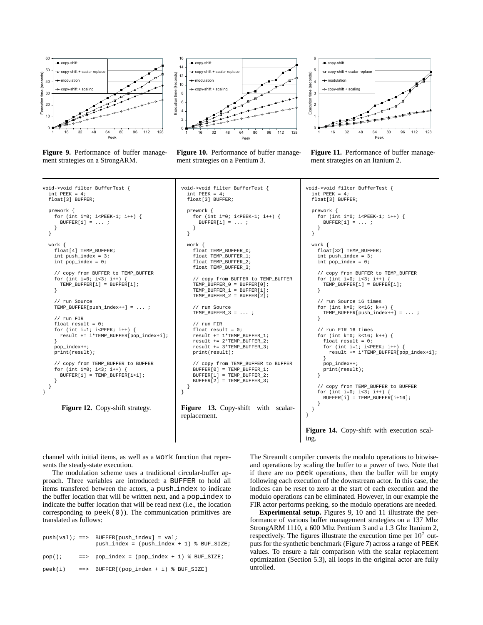

**Figure 9.** Performance of buffer management strategies on a StrongARM.

```
void->void filter BufferTest {
  int PERK = 4;
  float[3] BUFFER;
  prework {
    for (int i=0; i <PEEK-1; i++) {
      BUFFER[i] = \dots ;
    }
  }
  work {
    float[4] TEMP_BUFFER;
    int push_index = 3;
    int pop_index = 0;
    // copy from BUFFER to TEMP_BUFFER
    for (int i=0; i<3; i++) {
      TEMP_BUFFER[i] = BUFFER[i];
    }
    // run Source
    TEMP_BUFFER[push_index++] = ... ;
    // run FIR
    float result = 0;
    for (int i=1; i<PEEK; i++) {
      result += i*TEMP_BUFFER[pop_index+i];
    }
    pop_index++;
   print(result);
    // copy from TEMP_BUFFER to BUFFER
    for (int i=0; i<3; i++) {
      BUFFER[i] = TEMP_BUFFER[i+1];}
  }
}
                                                  }
```
**Figure 12.** Copy-shift strategy.



**Figure 10.** Performance of buffer management strategies on a Pentium 3.



**Figure 11.** Performance of buffer management strategies on an Itanium 2.

```
void->void filter BufferTest {
  int PEEK = 4;
  float[3] BUFFER;
  prework {
    for (int i=0; i <PEEK-1; i++) {
      \texttt{BUFFER[i]} = \ldots ;}
  }
  work {
    float TEMP_BUFFER_0;
    float TEMP_BUFFER_1;
    float TEMP_BUFFER_2;
    float TEMP BUFFER 3;
    // copy from BUFFER to TEMP_BUFFER
    TEMP_BUFFER_0 = BUFFER[0];
TEMP_BUFFER_1 = BUFFER[1];
    TEMP_BUFFER_2 = BUFFER[2];
     // run Source
    TEMP_BUFFER_3 = ... ;
    // run FIR
    float result = 0iresult += 1*TEMP_BUFFER_1;
    result += 2*TEMP-BUFFER-2;result += 3*TEMP_BUFFER_3;
    print(result);
    // copy from TEMP_BUFFER to BUFFER
    BUFFER[0] = TEMP_BUFFER_1;
BUFFER[1] = TEMP_BUFFER_2;
    BUFFER[2] = TEMP_BUFFER-3;}
Figure 13. Copy-shift with scalar-
replacement.
                                                void->void filter BufferTest {
                                                }
```

```
int PERK = 4;
  float[3] BUFFER;
  prework {
    for (int i=0; i<PEEK-1; i++) {
      \texttt{BUFFER[i]} = \ldots \text{ ; }}
  }
  work {
    float[32] TEMP_BUFFER;
    int push_index = 3;
    int pop_index = 0;
    // copy from BUFFER to TEMP_BUFFER
    for (int i=0; i<3; i++) {
      TEMP_BUFFER[i] = BUFFER[i];
    }
    // run Source 16 times
    for (int k=0; k<16; k++) {
      TEMP_BUFFER[push_index++] = ... ;
    }
    // run FIR 16 times
    for (int k=0; k<16; k++) {
      float result = 0ifor (int i=1; i<PEEK; i++) {
        result += i*TEMP_BUFFER[pop_index+i];
       }
pop_index++;
      print(result);
    }
    // copy from TEMP_BUFFER to BUFFER
    for (int i=0; i<3; i++) {
      BUFFER[i] = TEMP_BUFFER[i+16];}
  }
Figure 14. Copy-shift with execution scal-
ing.
```
channel with initial items, as well as a work function that represents the steady-state execution.

The modulation scheme uses a traditional circular-buffer approach. Three variables are introduced: a BUFFER to hold all items transfered between the actors, a push index to indicate the buffer location that will be written next, and a pop index to indicate the buffer location that will be read next (i.e., the location corresponding to  $peek(0)$ ). The communication primitives are translated as follows:

|                  | $push(va1); ==&$ BUFFER[push index] = val;<br>push index = $(push \ index + 1)$ % BUF SIZE; |
|------------------|---------------------------------------------------------------------------------------------|
| pop()            | $\Rightarrow$ pop_index = (pop_index + 1) % BUF_SIZE;                                       |
| $\text{peak}(i)$ | $\Rightarrow$ BUFFER[(pop index + i) % BUF SIZE]                                            |

The StreamIt compiler converts the modulo operations to bitwiseand operations by scaling the buffer to a power of two. Note that if there are no peek operations, then the buffer will be empty following each execution of the downstream actor. In this case, the indices can be reset to zero at the start of each execution and the modulo operations can be eliminated. However, in our example the FIR actor performs peeking, so the modulo operations are needed.

**Experimental setup.** Figures 9, 10 and 11 illustrate the performance of various buffer management strategies on a 137 Mhz StrongARM 1110, a 600 Mhz Pentium 3 and a 1.3 Ghz Itanium 2, respectively. The figures illustrate the execution time per  $10^7$  outputs for the synthetic benchmark (Figure 7) across a range of PEEK values. To ensure a fair comparison with the scalar replacement optimization (Section 5.3), all loops in the original actor are fully unrolled.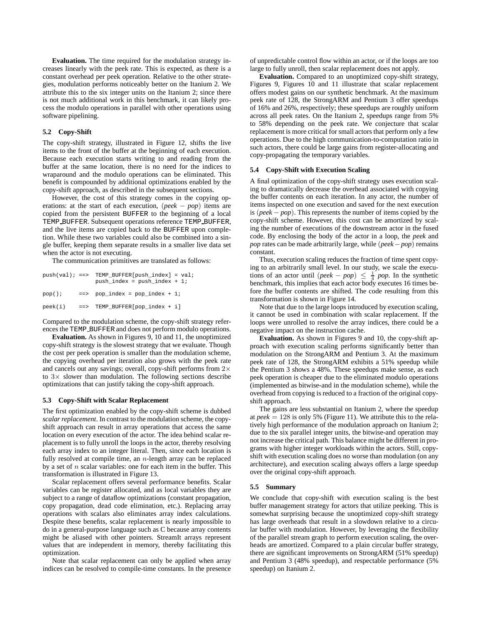**Evaluation.** The time required for the modulation strategy increases linearly with the peek rate. This is expected, as there is a constant overhead per peek operation. Relative to the other strategies, modulation performs noticeably better on the Itanium 2. We attribute this to the six integer units on the Itanium 2; since there is not much additional work in this benchmark, it can likely process the modulo operations in parallel with other operations using software pipelining.

## **5.2 Copy-Shift**

The copy-shift strategy, illustrated in Figure 12, shifts the live items to the front of the buffer at the beginning of each execution. Because each execution starts writing to and reading from the buffer at the same location, there is no need for the indices to wraparound and the modulo operations can be eliminated. This benefit is compounded by additional optimizations enabled by the copy-shift approach, as described in the subsequent sections.

However, the cost of this strategy comes in the copying operations: at the start of each execution, (*peek* − *pop*) items are copied from the persistent BUFFER to the beginning of a local TEMP BUFFER. Subsequent operations reference TEMP BUFFER, and the live items are copied back to the BUFFER upon completion. While these two variables could also be combined into a single buffer, keeping them separate results in a smaller live data set when the actor is not executing.

The communication primitives are translated as follows:

|         | $push(va1); ==>$ TEMP BUFFER[push index] = val;<br>push index = push index + $1$ ; |  |
|---------|------------------------------------------------------------------------------------|--|
| pop()   | $\Rightarrow$ pop index = pop index + 1;                                           |  |
| peek(i) | $\Rightarrow$ TEMP BUFFER[pop index + i]                                           |  |

Compared to the modulation scheme, the copy-shift strategy references the TEMP BUFFER and does not perform modulo operations.

**Evaluation.** As shown in Figures 9, 10 and 11, the unoptimized copy-shift strategy is the slowest strategy that we evaluate. Though the cost per peek operation is smaller than the modulation scheme, the copying overhead per iteration also grows with the peek rate and cancels out any savings; overall, copy-shift performs from  $2\times$ to  $3\times$  slower than modulation. The following sections describe optimizations that can justify taking the copy-shift approach.

#### **5.3 Copy-Shift with Scalar Replacement**

The first optimization enabled by the copy-shift scheme is dubbed *scalar replacement*. In contrast to the modulation scheme, the copyshift approach can result in array operations that access the same location on every execution of the actor. The idea behind scalar replacement is to fully unroll the loops in the actor, thereby resolving each array index to an integer literal. Then, since each location is fully resolved at compile time, an  $n$ -length array can be replaced by a set of  $n$  scalar variables: one for each item in the buffer. This transformation is illustrated in Figure 13.

Scalar replacement offers several performance benefits. Scalar variables can be register allocated, and as local variables they are subject to a range of dataflow optimizations (constant propagation, copy propagation, dead code elimination, etc.). Replacing array operations with scalars also eliminates array index calculations. Despite these benefits, scalar replacement is nearly impossible to do in a general-purpose language such as C because array contents might be aliased with other pointers. StreamIt arrays represent values that are independent in memory, thereby facilitating this optimization.

Note that scalar replacement can only be applied when array indices can be resolved to compile-time constants. In the presence of unpredictable control flow within an actor, or if the loops are too large to fully unroll, then scalar replacement does not apply.

**Evaluation.** Compared to an unoptimized copy-shift strategy, Figures 9, Figures 10 and 11 illustrate that scalar replacement offers modest gains on our synthetic benchmark. At the maximum peek rate of 128, the StrongARM and Pentium 3 offer speedups of 16% and 26%, respectively; these speedups are roughly uniform across all peek rates. On the Itanium 2, speedups range from 5% to 58% depending on the peek rate. We conjecture that scalar replacement is more critical for small actors that perform only a few operations. Due to the high communication-to-computation ratio in such actors, there could be large gains from register-allocating and copy-propagating the temporary variables.

#### **5.4 Copy-Shift with Execution Scaling**

A final optimization of the copy-shift strategy uses execution scaling to dramatically decrease the overhead associated with copying the buffer contents on each iteration. In any actor, the number of items inspected on one execution and saved for the next execution is (*peek* − *pop*). This represents the number of items copied by the copy-shift scheme. However, this cost can be amortized by scaling the number of executions of the downstream actor in the fused code. By enclosing the body of the actor in a loop, the *peek* and *pop* rates can be made arbitrarily large, while (*peek* −*pop*) remains constant.

Thus, execution scaling reduces the fraction of time spent copying to an arbitrarily small level. In our study, we scale the executions of an actor until  $(\text{peak} - \text{pop}) \leq \frac{1}{4}$  *pop*. In the synthetic benchmark, this implies that each actor body executes 16 times before the buffer contents are shifted. The code resulting from this transformation is shown in Figure 14.

Note that due to the large loops introduced by execution scaling, it cannot be used in combination with scalar replacement. If the loops were unrolled to resolve the array indices, there could be a negative impact on the instruction cache.

**Evaluation.** As shown in Figures 9 and 10, the copy-shift approach with execution scaling performs significantly better than modulation on the StrongARM and Pentium 3. At the maximum peek rate of 128, the StrongARM exhibits a 51% speedup while the Pentium 3 shows a 48%. These speedups make sense, as each peek operation is cheaper due to the eliminated modulo operations (implemented as bitwise-and in the modulation scheme), while the overhead from copying is reduced to a fraction of the original copyshift approach.

The gains are less substantial on Itanium 2, where the speedup at  $peek = 128$  is only 5% (Figure 11). We attribute this to the relatively high performance of the modulation approach on Itanium 2; due to the six parallel integer units, the bitwise-and operation may not increase the critical path. This balance might be different in programs with higher integer workloads within the actors. Still, copyshift with execution scaling does no worse than modulation (on any architecture), and execution scaling always offers a large speedup over the original copy-shift approach.

#### **5.5 Summary**

We conclude that copy-shift with execution scaling is the best buffer management strategy for actors that utilize peeking. This is somewhat surprising because the unoptimized copy-shift strategy has large overheads that result in a slowdown relative to a circular buffer with modulation. However, by leveraging the flexibility of the parallel stream graph to perform execution scaling, the overheads are amortized. Compared to a plain circular buffer strategy, there are significant improvements on StrongARM (51% speedup) and Pentium 3 (48% speedup), and respectable performance (5% speedup) on Itanium 2.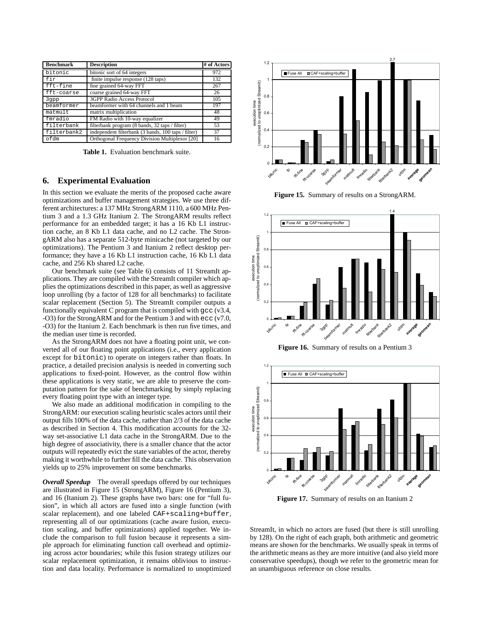| <b>Benchmark</b> | <b>Description</b>                                  | # of Actors |
|------------------|-----------------------------------------------------|-------------|
| bitonic          | bitonic sort of 64 integers                         | 972         |
| fir              | finite impulse response (128 taps)                  | 132         |
| fft-fine         | fine grained 64-way FFT                             | 267         |
| fft-coarse       | coarse grained 64-way FFT                           | 26          |
| 3gpp             | 3GPP Radio Access Protocol                          | 105         |
| beamformer       | beamformer with 64 channels and 1 beam              | 197         |
| matmult          | matrix multiplication                               | 48          |
| fmradio          | FM Radio with 10-way equalizer                      | 49          |
| filterbank       | filterbank program (8 bands, 32 taps / filter)      | 53          |
| filterbank2      | independent filterbank (3 bands, 100 taps / filter) | 37          |
| ofdm             | Orthogonal Frequency Division Multiplexor [20]      | 16          |

**Table 1.** Evaluation benchmark suite.

## **6. Experimental Evaluation**

In this section we evaluate the merits of the proposed cache aware optimizations and buffer management strategies. We use three different architectures: a 137 MHz StrongARM 1110, a 600 MHz Pentium 3 and a 1.3 GHz Itanium 2. The StrongARM results reflect performance for an embedded target; it has a 16 Kb L1 instruction cache, an 8 Kb L1 data cache, and no L2 cache. The StrongARM also has a separate 512-byte minicache (not targeted by our optimizations). The Pentium 3 and Itanium 2 reflect desktop performance; they have a 16 Kb L1 instruction cache, 16 Kb L1 data cache, and 256 Kb shared L2 cache.

Our benchmark suite (see Table 6) consists of 11 StreamIt applications. They are compiled with the StreamIt compiler which applies the optimizations described in this paper, as well as aggressive loop unrolling (by a factor of 128 for all benchmarks) to facilitate scalar replacement (Section 5). The StreamIt compiler outputs a functionally equivalent C program that is compiled with  $qcc$  (v3.4, -O3) for the StrongARM and for the Pentium 3 and with ecc (v7.0, -O3) for the Itanium 2. Each benchmark is then run five times, and the median user time is recorded.

As the StrongARM does not have a floating point unit, we converted all of our floating point applications (i.e., every application except for bitonic) to operate on integers rather than floats. In practice, a detailed precision analysis is needed in converting such applications to fixed-point. However, as the control flow within these applications is very static, we are able to preserve the computation pattern for the sake of benchmarking by simply replacing every floating point type with an integer type.

We also made an additional modification in compiling to the StrongARM: our execution scaling heuristic scales actors until their output fills 100% of the data cache, rather than 2/3 of the data cache as described in Section 4. This modification accounts for the 32 way set-associative L1 data cache in the StrongARM. Due to the high degree of associativity, there is a smaller chance that the actor outputs will repeatedly evict the state variables of the actor, thereby making it worthwhile to further fill the data cache. This observation yields up to 25% improvement on some benchmarks.

*Overall Speedup* The overall speedups offered by our techniques are illustrated in Figure 15 (StrongARM), Figure 16 (Pentium 3), and 16 (Itanium 2). These graphs have two bars: one for "full fusion", in which all actors are fused into a single function (with scalar replacement), and one labeled CAF+scaling+buffer, representing all of our optimizations (cache aware fusion, execution scaling, and buffer optimizations) applied together. We include the comparison to full fusion because it represents a simple approach for eliminating function call overhead and optimizing across actor boundaries; while this fusion strategy utilizes our scalar replacement optimization, it remains oblivious to instruction and data locality. Performance is normalized to unoptimized



**Figure 15.** Summary of results on a StrongARM.



**Figure 16.** Summary of results on a Pentium 3



**Figure 17.** Summary of results on an Itanium 2

StreamIt, in which no actors are fused (but there is still unrolling by 128). On the right of each graph, both arithmetic and geometric means are shown for the benchmarks. We usually speak in terms of the arithmetic means as they are more intuitive (and also yield more conservative speedups), though we refer to the geometric mean for an unambiguous reference on close results.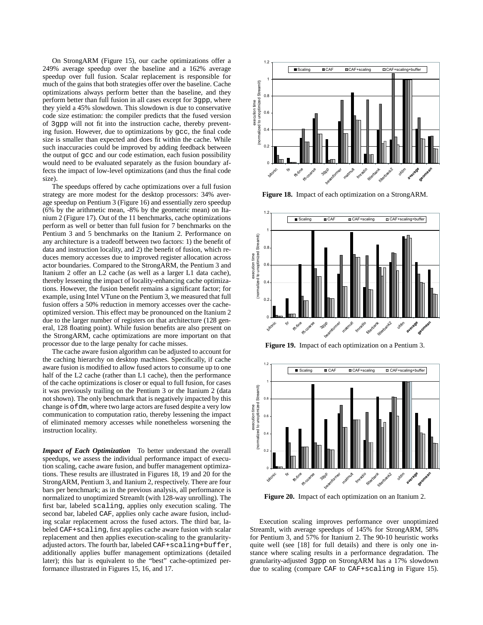On StrongARM (Figure 15), our cache optimizations offer a 249% average speedup over the baseline and a 162% average speedup over full fusion. Scalar replacement is responsible for much of the gains that both strategies offer over the baseline. Cache optimizations always perform better than the baseline, and they perform better than full fusion in all cases except for 3gpp, where they yield a 45% slowdown. This slowdown is due to conservative code size estimation: the compiler predicts that the fused version of 3gpp will not fit into the instruction cache, thereby preventing fusion. However, due to optimizations by gcc, the final code size is smaller than expected and does fit within the cache. While such inaccuracies could be improved by adding feedback between the output of gcc and our code estimation, each fusion possibility would need to be evaluated separately as the fusion boundary affects the impact of low-level optimizations (and thus the final code size).

The speedups offered by cache optimizations over a full fusion strategy are more modest for the desktop processors: 34% average speedup on Pentium 3 (Figure 16) and essentially zero speedup (6% by the arithmetic mean, -8% by the geometric mean) on Itanium 2 (Figure 17). Out of the 11 benchmarks, cache optimizations perform as well or better than full fusion for 7 benchmarks on the Pentium 3 and 5 benchmarks on the Itanium 2. Performance on any architecture is a tradeoff between two factors: 1) the benefit of data and instruction locality, and 2) the benefit of fusion, which reduces memory accesses due to improved register allocation across actor boundaries. Compared to the StrongARM, the Pentium 3 and Itanium 2 offer an L2 cache (as well as a larger L1 data cache), thereby lessening the impact of locality-enhancing cache optimizations. However, the fusion benefit remains a significant factor; for example, using Intel VTune on the Pentium 3, we measured that full fusion offers a 50% reduction in memory accesses over the cacheoptimized version. This effect may be pronounced on the Itanium 2 due to the larger number of registers on that architecture (128 general, 128 floating point). While fusion benefits are also present on the StrongARM, cache optimizations are more important on that processor due to the large penalty for cache misses.

The cache aware fusion algorithm can be adjusted to account for the caching hierarchy on desktop machines. Specifically, if cache aware fusion is modified to allow fused actors to consume up to one half of the L2 cache (rather than L1 cache), then the performance of the cache optimizations is closer or equal to full fusion, for cases it was previously trailing on the Pentium 3 or the Itanium 2 (data not shown). The only benchmark that is negatively impacted by this change is ofdm, where two large actors are fused despite a very low communication to computation ratio, thereby lessening the impact of eliminated memory accesses while nonetheless worsening the instruction locality.

*Impact of Each Optimization* To better understand the overall speedups, we assess the individual performance impact of execution scaling, cache aware fusion, and buffer management optimizations. These results are illustrated in Figures 18, 19 and 20 for the StrongARM, Pentium 3, and Itanium 2, respectively. There are four bars per benchmark; as in the previous analysis, all performance is normalized to unoptimized StreamIt (with 128-way unrolling). The first bar, labeled scaling, applies only execution scaling. The second bar, labeled CAF, applies only cache aware fusion, including scalar replacement across the fused actors. The third bar, labeled CAF+scaling, first applies cache aware fusion with scalar replacement and then applies execution-scaling to the granularityadjusted actors. The fourth bar, labeled CAF+scaling+buffer, additionally applies buffer management optimizations (detailed later); this bar is equivalent to the "best" cache-optimized performance illustrated in Figures 15, 16, and 17.



**Figure 18.** Impact of each optimization on a StrongARM.



**Figure 19.** Impact of each optimization on a Pentium 3.



**Figure 20.** Impact of each optimization on an Itanium 2.

Execution scaling improves performance over unoptimized StreamIt, with average speedups of 145% for StrongARM, 58% for Pentium 3, and 57% for Itanium 2. The 90-10 heuristic works quite well (see [18] for full details) and there is only one instance where scaling results in a performance degradation. The granularity-adjusted 3gpp on StrongARM has a 17% slowdown due to scaling (compare CAF to CAF+scaling in Figure 15).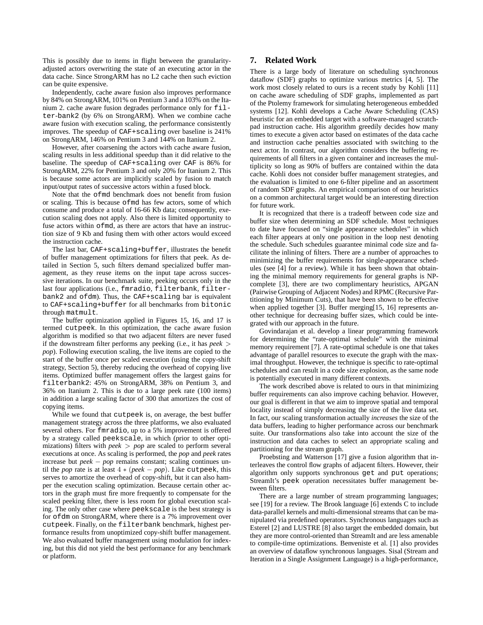This is possibly due to items in flight between the granularityadjusted actors overwriting the state of an executing actor in the data cache. Since StrongARM has no L2 cache then such eviction can be quite expensive.

Independently, cache aware fusion also improves performance by 84% on StrongARM, 101% on Pentium 3 and a 103% on the Itanium 2. cache aware fusion degrades performance only for filter-bank2 (by 6% on StrongARM). When we combine cache aware fusion with execution scaling, the performance consistently improves. The speedup of CAF+scaling over baseline is 241% on StrongARM, 146% on Pentium 3 and 144% on Itanium 2.

However, after coarsening the actors with cache aware fusion, scaling results in less additional speedup than it did relative to the baseline. The speedup of CAF+scaling over CAF is 86% for StrongARM, 22% for Pentium 3 and only 20% for Itanium 2. This is because some actors are implicitly scaled by fusion to match input/output rates of successive actors within a fused block.

Note that the ofmd benchmark does not benefit from fusion or scaling. This is because ofmd has few actors, some of which consume and produce a total of 16-66 Kb data; consequently, execution scaling does not apply. Also there is limited opportunity to fuse actors within ofmd, as there are actors that have an instruction size of 9 Kb and fusing them with other actors would exceed the instruction cache.

The last bar, CAF+scaling+buffer, illustrates the benefit of buffer management optimizations for filters that peek. As detailed in Section 5, such filters demand specialized buffer management, as they reuse items on the input tape across successive iterations. In our benchmark suite, peeking occurs only in the last four applications (i.e., fmradio, filterbank, filterbank2 and ofdm). Thus, the CAF+scaling bar is equivalent to CAF+scaling+buffer for all benchmarks from bitonic through matmult.

The buffer optimization applied in Figures 15, 16, and 17 is termed cutpeek. In this optimization, the cache aware fusion algorithm is modified so that two adjacent filters are never fused if the downstream filter performs any peeking (i.e., it has *peek* > *pop*). Following execution scaling, the live items are copied to the start of the buffer once per scaled execution (using the copy-shift strategy, Section 5), thereby reducing the overhead of copying live items. Optimized buffer management offers the largest gains for filterbank2: 45% on StrongARM, 38% on Pentium 3, and 36% on Itanium 2. This is due to a large peek rate (100 items) in addition a large scaling factor of 300 that amortizes the cost of copying items.

While we found that cutpeek is, on average, the best buffer management strategy across the three platforms, we also evaluated several others. For fmradio, up to a 5% improvement is offered by a strategy called peekscale, in which (prior to other optimizations) filters with *peek* > *pop* are scaled to perform several executions at once. As scaling is performed, the *pop* and *peek* rates increase but *peek* − *pop* remains constant; scaling continues until the *pop* rate is at least  $4 * (peek - pop)$ . Like cutpeek, this serves to amortize the overhead of copy-shift, but it can also hamper the execution scaling optimization. Because certain other actors in the graph must fire more frequently to compensate for the scaled peeking filter, there is less room for global execution scaling. The only other case where peekscale is the best strategy is for ofdm on StrongARM, where there is a 7% improvement over cutpeek. Finally, on the filterbank benchmark, highest performance results from unoptimized copy-shift buffer management. We also evaluated buffer management using modulation for indexing, but this did not yield the best performance for any benchmark or platform.

# **7. Related Work**

There is a large body of literature on scheduling synchronous dataflow (SDF) graphs to optimize various metrics [4, 5]. The work most closely related to ours is a recent study by Kohli [11] on cache aware scheduling of SDF graphs, implemented as part of the Ptolemy framework for simulating heterogeneous embedded systems [12]. Kohli develops a Cache Aware Scheduling (CAS) heuristic for an embedded target with a software-managed scratchpad instruction cache. His algorithm greedily decides how many times to execute a given actor based on estimates of the data cache and instruction cache penalties associated with switching to the next actor. In contrast, our algorithm considers the buffering requirements of all filters in a given container and increases the multiplicity so long as 90% of buffers are contained within the data cache. Kohli does not consider buffer management strategies, and the evaluation is limited to one 6-filter pipeline and an assortment of random SDF graphs. An empirical comparison of our heuristics on a common architectural target would be an interesting direction for future work.

It is recognized that there is a tradeoff between code size and buffer size when determining an SDF schedule. Most techniques to date have focused on "single appearance schedules" in which each filter appears at only one position in the loop nest denoting the schedule. Such schedules guarantee minimal code size and facilitate the inlining of filters. There are a number of approaches to minimizing the buffer requirements for single-appearance schedules (see [4] for a review). While it has been shown that obtaining the minimal memory requirements for general graphs is NPcomplete [3], there are two complimentary heuristics, APGAN (Pairwise Grouping of Adjacent Nodes) and RPMC (Recursive Partitioning by Minimum Cuts), that have been shown to be effective when applied together [3]. Buffer merging[15, 16] represents another technique for decreasing buffer sizes, which could be integrated with our approach in the future.

Govindarajan et al. develop a linear programming framework for determining the "rate-optimal schedule" with the minimal memory requirement [7]. A rate-optimal schedule is one that takes advantage of parallel resources to execute the graph with the maximal throughput. However, the technique is specific to rate-optimal schedules and can result in a code size explosion, as the same node is potentially executed in many different contexts.

The work described above is related to ours in that minimizing buffer requirements can also improve caching behavior. However, our goal is different in that we aim to improve spatial and temporal locality instead of simply decreasing the size of the live data set. In fact, our scaling transformation actually *increases* the size of the data buffers, leading to higher performance across our benchmark suite. Our transformations also take into account the size of the instruction and data caches to select an appropriate scaling and partitioning for the stream graph.

Proebsting and Watterson [17] give a fusion algorithm that interleaves the control flow graphs of adjacent filters. However, their algorithm only supports synchronous get and put operations; StreamIt's peek operation necessitates buffer management between filters.

There are a large number of stream programming languages; see [19] for a review. The Brook language [6] extends C to include data-parallel kernels and multi-dimensional streams that can be manipulated via predefined operators. Synchronous languages such as Esterel [2] and LUSTRE [8] also target the embedded domain, but they are more control-oriented than StreamIt and are less amenable to compile-time optimizations. Benveniste et al. [1] also provides an overview of dataflow synchronous languages. Sisal (Stream and Iteration in a Single Assignment Language) is a high-performance,